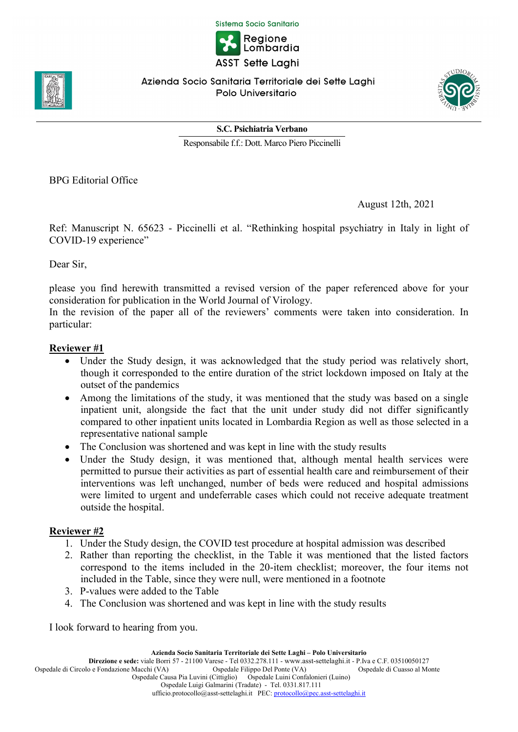Sistema Socio Sanitario



Azienda Socio Sanitaria Territoriale dei Sette Laghi Polo Universitario



S.C. Psichiatria Verbano

Responsabile f.f.: Dott. Marco Piero Piccinelli

BPG Editorial Office

August 12th, 2021

Ref: Manuscript N. 65623 - Piccinelli et al. "Rethinking hospital psychiatry in Italy in light of COVID-19 experience"

Dear Sir,

please you find herewith transmitted a revised version of the paper referenced above for your consideration for publication in the World Journal of Virology.

In the revision of the paper all of the reviewers' comments were taken into consideration. In particular:

## Reviewer #1

- Under the Study design, it was acknowledged that the study period was relatively short, though it corresponded to the entire duration of the strict lockdown imposed on Italy at the outset of the pandemics
- Among the limitations of the study, it was mentioned that the study was based on a single inpatient unit, alongside the fact that the unit under study did not differ significantly compared to other inpatient units located in Lombardia Region as well as those selected in a representative national sample
- The Conclusion was shortened and was kept in line with the study results
- Under the Study design, it was mentioned that, although mental health services were permitted to pursue their activities as part of essential health care and reimbursement of their interventions was left unchanged, number of beds were reduced and hospital admissions were limited to urgent and undeferrable cases which could not receive adequate treatment outside the hospital.

## Reviewer #2

- 1. Under the Study design, the COVID test procedure at hospital admission was described
- 2. Rather than reporting the checklist, in the Table it was mentioned that the listed factors correspond to the items included in the 20-item checklist; moreover, the four items not included in the Table, since they were null, were mentioned in a footnote
- 3. P-values were added to the Table
- 4. The Conclusion was shortened and was kept in line with the study results

I look forward to hearing from you.

Azienda Socio Sanitaria Territoriale dei Sette Laghi – Polo Universitario